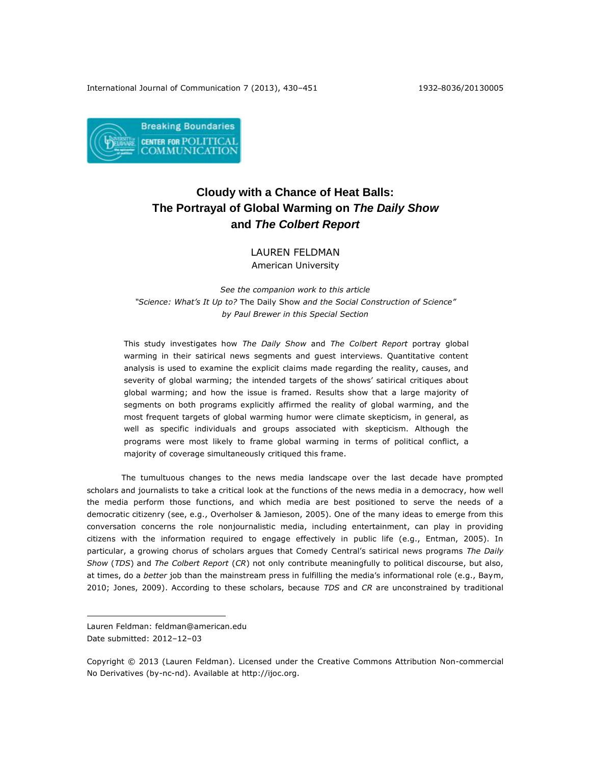

# **Cloudy with a Chance of Heat Balls: The Portrayal of Global Warming on** *The Daily Show*  **and** *The Colbert Report*

LAUREN FELDMAN American University

*See the companion work to this article "Science: What's It Up to?* The Daily Show *and the Social Construction of Science" by Paul Brewer in this Special Section*

This study investigates how *The Daily Show* and *The Colbert Report* portray global warming in their satirical news segments and guest interviews. Quantitative content analysis is used to examine the explicit claims made regarding the reality, causes, and severity of global warming; the intended targets of the shows' satirical critiques about global warming; and how the issue is framed. Results show that a large majority of segments on both programs explicitly affirmed the reality of global warming, and the most frequent targets of global warming humor were climate skepticism, in general, as well as specific individuals and groups associated with skepticism. Although the programs were most likely to frame global warming in terms of political conflict, a majority of coverage simultaneously critiqued this frame.

The tumultuous changes to the news media landscape over the last decade have prompted scholars and journalists to take a critical look at the functions of the news media in a democracy, how well the media perform those functions, and which media are best positioned to serve the needs of a democratic citizenry (see, e.g., Overholser & Jamieson, 2005). One of the many ideas to emerge from this conversation concerns the role nonjournalistic media, including entertainment, can play in providing citizens with the information required to engage effectively in public life (e.g., Entman, 2005). In particular, a growing chorus of scholars argues that Comedy Central's satirical news programs *The Daily Show* (*TDS*) and *The Colbert Report* (*CR*) not only contribute meaningfully to political discourse, but also, at times, do a *better* job than the mainstream press in fulfilling the media's informational role (e.g., Baym, 2010; Jones, 2009). According to these scholars, because *TDS* and *CR* are unconstrained by traditional

 $\overline{a}$ 

Lauren Feldman: [feldman@american.edu](mailto:feldman@american.edu) Date submitted: 2012–12–03

Copyright © 2013 (Lauren Feldman). Licensed under the Creative Commons Attribution Non-commercial No Derivatives (by-nc-nd). Available at http://ijoc.org.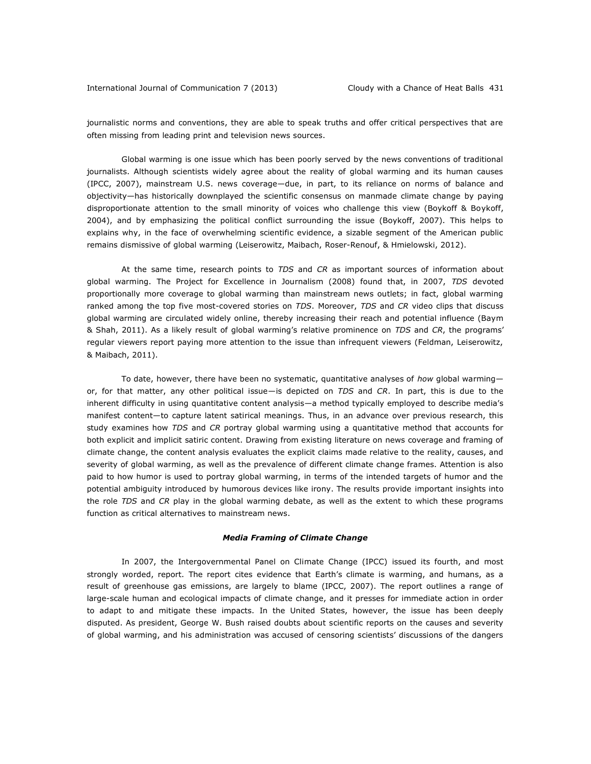journalistic norms and conventions, they are able to speak truths and offer critical perspectives that are often missing from leading print and television news sources.

Global warming is one issue which has been poorly served by the news conventions of traditional journalists. Although scientists widely agree about the reality of global warming and its human causes (IPCC, 2007), mainstream U.S. news coverage—due, in part, to its reliance on norms of balance and objectivity—has historically downplayed the scientific consensus on manmade climate change by paying disproportionate attention to the small minority of voices who challenge this view (Boykoff & Boykoff, 2004), and by emphasizing the political conflict surrounding the issue (Boykoff, 2007). This helps to explains why, in the face of overwhelming scientific evidence, a sizable segment of the American public remains dismissive of global warming (Leiserowitz, Maibach, Roser-Renouf, & Hmielowski, 2012).

At the same time, research points to *TDS* and *CR* as important sources of information about global warming. The Project for Excellence in Journalism (2008) found that, in 2007, *TDS* devoted proportionally more coverage to global warming than mainstream news outlets; in fact, global warming ranked among the top five most-covered stories on *TDS*. Moreover, *TDS* and *CR* video clips that discuss global warming are circulated widely online, thereby increasing their reach and potential influence (Baym & Shah, 2011). As a likely result of global warming's relative prominence on *TDS* and *CR*, the programs' regular viewers report paying more attention to the issue than infrequent viewers (Feldman, Leiserowitz, & Maibach, 2011).

To date, however, there have been no systematic, quantitative analyses of *how* global warming or, for that matter, any other political issue—is depicted on *TDS* and *CR*. In part, this is due to the inherent difficulty in using quantitative content analysis—a method typically employed to describe media's manifest content—to capture latent satirical meanings. Thus, in an advance over previous research, this study examines how *TDS* and *CR* portray global warming using a quantitative method that accounts for both explicit and implicit satiric content. Drawing from existing literature on news coverage and framing of climate change, the content analysis evaluates the explicit claims made relative to the reality, causes, and severity of global warming, as well as the prevalence of different climate change frames. Attention is also paid to how humor is used to portray global warming, in terms of the intended targets of humor and the potential ambiguity introduced by humorous devices like irony. The results provide important insights into the role *TDS* and *CR* play in the global warming debate, as well as the extent to which these programs function as critical alternatives to mainstream news.

## *Media Framing of Climate Change*

In 2007, the Intergovernmental Panel on Climate Change (IPCC) issued its fourth, and most strongly worded, report. The report cites evidence that Earth's climate is warming, and humans, as a result of greenhouse gas emissions, are largely to blame (IPCC, 2007). The report outlines a range of large-scale human and ecological impacts of climate change, and it presses for immediate action in order to adapt to and mitigate these impacts. In the United States, however, the issue has been deeply disputed. As president, George W. Bush raised doubts about scientific reports on the causes and severity of global warming, and his administration was accused of censoring scientists' discussions of the dangers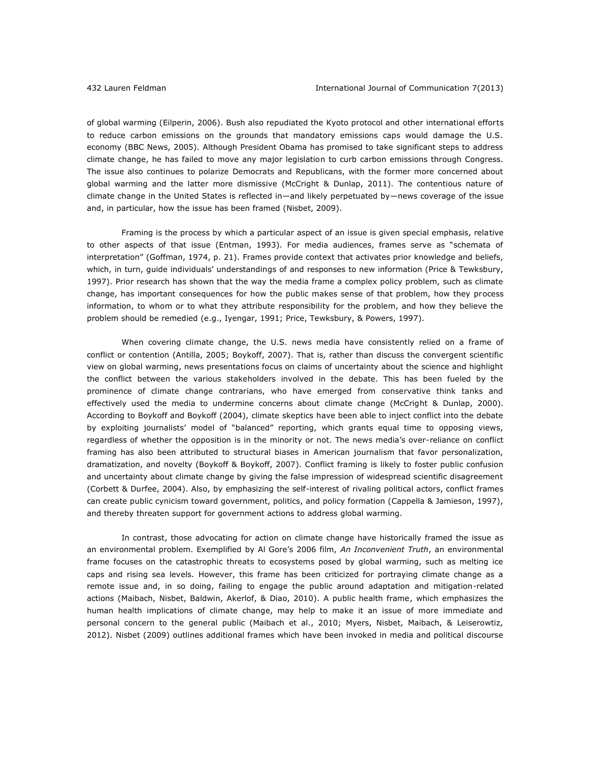of global warming (Eilperin, 2006). Bush also repudiated the Kyoto protocol and other international efforts to reduce carbon emissions on the grounds that mandatory emissions caps would damage the U.S. economy (BBC News, 2005). Although President Obama has promised to take significant steps to address climate change, he has failed to move any major legislation to curb carbon emissions through Congress. The issue also continues to polarize Democrats and Republicans, with the former more concerned about global warming and the latter more dismissive (McCright & Dunlap, 2011). The contentious nature of climate change in the United States is reflected in—and likely perpetuated by—news coverage of the issue and, in particular, how the issue has been framed (Nisbet, 2009).

Framing is the process by which a particular aspect of an issue is given special emphasis, relative to other aspects of that issue (Entman, 1993). For media audiences, frames serve as "schemata of interpretation" (Goffman, 1974, p. 21). Frames provide context that activates prior knowledge and beliefs, which, in turn, guide individuals' understandings of and responses to new information (Price & Tewksbury, 1997). Prior research has shown that the way the media frame a complex policy problem, such as climate change, has important consequences for how the public makes sense of that problem, how they process information, to whom or to what they attribute responsibility for the problem, and how they believe the problem should be remedied (e.g., Iyengar, 1991; Price, Tewksbury, & Powers, 1997).

When covering climate change, the U.S. news media have consistently relied on a frame of conflict or contention (Antilla, 2005; Boykoff, 2007). That is, rather than discuss the convergent scientific view on global warming, news presentations focus on claims of uncertainty about the science and highlight the conflict between the various stakeholders involved in the debate. This has been fueled by the prominence of climate change contrarians, who have emerged from conservative think tanks and effectively used the media to undermine concerns about climate change (McCright & Dunlap, 2000). According to Boykoff and Boykoff (2004), climate skeptics have been able to inject conflict into the debate by exploiting journalists' model of "balanced" reporting, which grants equal time to opposing views, regardless of whether the opposition is in the minority or not. The news media's over-reliance on conflict framing has also been attributed to structural biases in American journalism that favor personalization, dramatization, and novelty (Boykoff & Boykoff, 2007). Conflict framing is likely to foster public confusion and uncertainty about climate change by giving the false impression of widespread scientific disagreement (Corbett & Durfee, 2004). Also, by emphasizing the self-interest of rivaling political actors, conflict frames can create public cynicism toward government, politics, and policy formation (Cappella & Jamieson, 1997), and thereby threaten support for government actions to address global warming.

In contrast, those advocating for action on climate change have historically framed the issue as an environmental problem. Exemplified by Al Gore's 2006 film, *An Inconvenient Truth*, an environmental frame focuses on the catastrophic threats to ecosystems posed by global warming, such as melting ice caps and rising sea levels. However, this frame has been criticized for portraying climate change as a remote issue and, in so doing, failing to engage the public around adaptation and mitigation-related actions (Maibach, Nisbet, Baldwin, Akerlof, & Diao, 2010). A public health frame, which emphasizes the human health implications of climate change, may help to make it an issue of more immediate and personal concern to the general public (Maibach et al., 2010; Myers, Nisbet, Maibach, & Leiserowtiz, 2012). Nisbet (2009) outlines additional frames which have been invoked in media and political discourse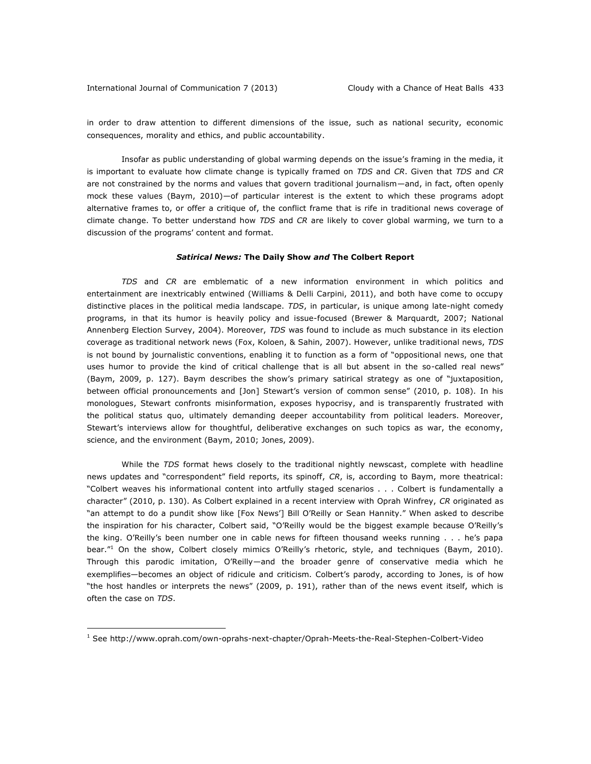in order to draw attention to different dimensions of the issue, such as national security, economic consequences, morality and ethics, and public accountability.

Insofar as public understanding of global warming depends on the issue's framing in the media, it is important to evaluate how climate change is typically framed on *TDS* and *CR*. Given that *TDS* and *CR*  are not constrained by the norms and values that govern traditional journalism—and, in fact, often openly mock these values (Baym, 2010)—of particular interest is the extent to which these programs adopt alternative frames to, or offer a critique of, the conflict frame that is rife in traditional news coverage of climate change. To better understand how *TDS* and *CR* are likely to cover global warming, we turn to a discussion of the programs' content and format.

#### *Satirical News:* **The Daily Show** *and* **The Colbert Report**

*TDS* and *CR* are emblematic of a new information environment in which politics and entertainment are inextricably entwined (Williams & Delli Carpini, 2011), and both have come to occupy distinctive places in the political media landscape. *TDS*, in particular, is unique among late-night comedy programs, in that its humor is heavily policy and issue-focused (Brewer & Marquardt, 2007; National Annenberg Election Survey, 2004). Moreover, *TDS* was found to include as much substance in its election coverage as traditional network news (Fox, Koloen, & Sahin, 2007). However, unlike traditional news, *TDS*  is not bound by journalistic conventions, enabling it to function as a form of "oppositional news, one that uses humor to provide the kind of critical challenge that is all but absent in the so-called real news" (Baym, 2009, p. 127). Baym describes the show's primary satirical strategy as one of "juxtaposition, between official pronouncements and [Jon] Stewart's version of common sense" (2010, p. 108). In his monologues, Stewart confronts misinformation, exposes hypocrisy, and is transparently frustrated with the political status quo, ultimately demanding deeper accountability from political leaders. Moreover, Stewart's interviews allow for thoughtful, deliberative exchanges on such topics as war, the economy, science, and the environment (Baym, 2010; Jones, 2009).

While the *TDS* format hews closely to the traditional nightly newscast, complete with headline news updates and "correspondent" field reports, its spinoff, *CR*, is, according to Baym, more theatrical: "Colbert weaves his informational content into artfully staged scenarios . . . Colbert is fundamentally a character" (2010, p. 130). As Colbert explained in a recent interview with Oprah Winfrey, *CR* originated as "an attempt to do a pundit show like [Fox News'] Bill O'Reilly or Sean Hannity." When asked to describe the inspiration for his character, Colbert said, "O'Reilly would be the biggest example because O'Reilly's the king. O'Reilly's been number one in cable news for fifteen thousand weeks running . . . he's papa bear.<sup>"1</sup> On the show, Colbert closely mimics O'Reilly's rhetoric, style, and techniques (Baym, 2010). Through this parodic imitation, O'Reilly—and the broader genre of conservative media which he exemplifies—becomes an object of ridicule and criticism. Colbert's parody, according to Jones, is of how "the host handles or interprets the news" (2009, p. 191), rather than of the news event itself, which is often the case on *TDS*.

 $\overline{a}$ 

<sup>1</sup> See<http://www.oprah.com/own-oprahs-next-chapter/Oprah-Meets-the-Real-Stephen-Colbert-Video>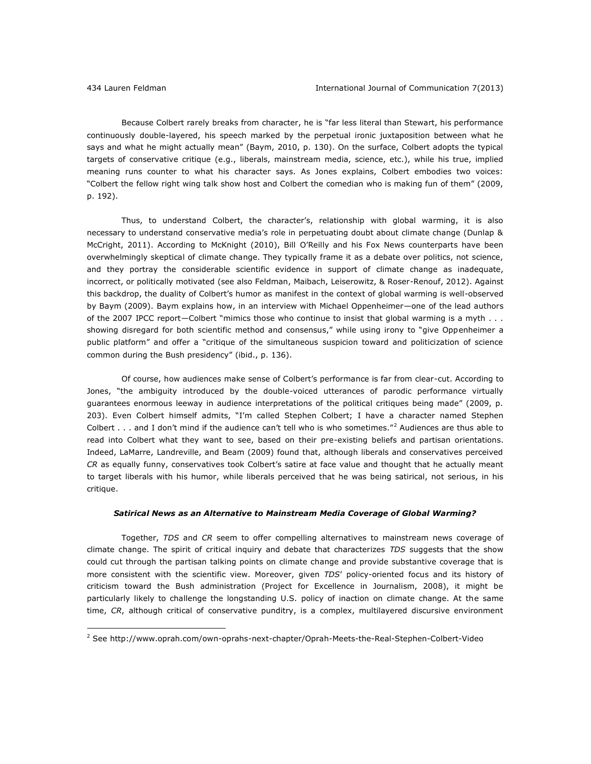Because Colbert rarely breaks from character, he is "far less literal than Stewart, his performance continuously double-layered, his speech marked by the perpetual ironic juxtaposition between what he says and what he might actually mean" (Baym, 2010, p. 130). On the surface, Colbert adopts the typical targets of conservative critique (e.g., liberals, mainstream media, science, etc.), while his true, implied meaning runs counter to what his character says. As Jones explains, Colbert embodies two voices: "Colbert the fellow right wing talk show host and Colbert the comedian who is making fun of them" (2009, p. 192).

Thus, to understand Colbert, the character's, relationship with global warming, it is also necessary to understand conservative media's role in perpetuating doubt about climate change (Dunlap & McCright, 2011). According to McKnight (2010), Bill O'Reilly and his Fox News counterparts have been overwhelmingly skeptical of climate change. They typically frame it as a debate over politics, not science, and they portray the considerable scientific evidence in support of climate change as inadequate, incorrect, or politically motivated (see also Feldman, Maibach, Leiserowitz, & Roser-Renouf, 2012). Against this backdrop, the duality of Colbert's humor as manifest in the context of global warming is well-observed by Baym (2009). Baym explains how, in an interview with Michael Oppenheimer—one of the lead authors of the 2007 IPCC report—Colbert "mimics those who continue to insist that global warming is a myth . . . showing disregard for both scientific method and consensus," while using irony to "give Oppenheimer a public platform" and offer a "critique of the simultaneous suspicion toward and politicization of science common during the Bush presidency" (ibid., p. 136).

Of course, how audiences make sense of Colbert's performance is far from clear-cut. According to Jones, "the ambiguity introduced by the double-voiced utterances of parodic performance virtually guarantees enormous leeway in audience interpretations of the political critiques being made" (2009, p. 203). Even Colbert himself admits, "I'm called Stephen Colbert; I have a character named Stephen Colbert  $\ldots$  and I don't mind if the audience can't tell who is who sometimes."<sup>2</sup> Audiences are thus able to read into Colbert what they want to see, based on their pre-existing beliefs and partisan orientations. Indeed, LaMarre, Landreville, and Beam (2009) found that, although liberals and conservatives perceived *CR* as equally funny, conservatives took Colbert's satire at face value and thought that he actually meant to target liberals with his humor, while liberals perceived that he was being satirical, not serious, in his critique.

#### *Satirical News as an Alternative to Mainstream Media Coverage of Global Warming?*

Together, *TDS* and *CR* seem to offer compelling alternatives to mainstream news coverage of climate change. The spirit of critical inquiry and debate that characterizes *TDS* suggests that the show could cut through the partisan talking points on climate change and provide substantive coverage that is more consistent with the scientific view. Moreover, given *TDS*' policy-oriented focus and its history of criticism toward the Bush administration (Project for Excellence in Journalism, 2008), it might be particularly likely to challenge the longstanding U.S. policy of inaction on climate change. At the same time, *CR*, although critical of conservative punditry, is a complex, multilayered discursive environment

<sup>2</sup> See<http://www.oprah.com/own-oprahs-next-chapter/Oprah-Meets-the-Real-Stephen-Colbert-Video>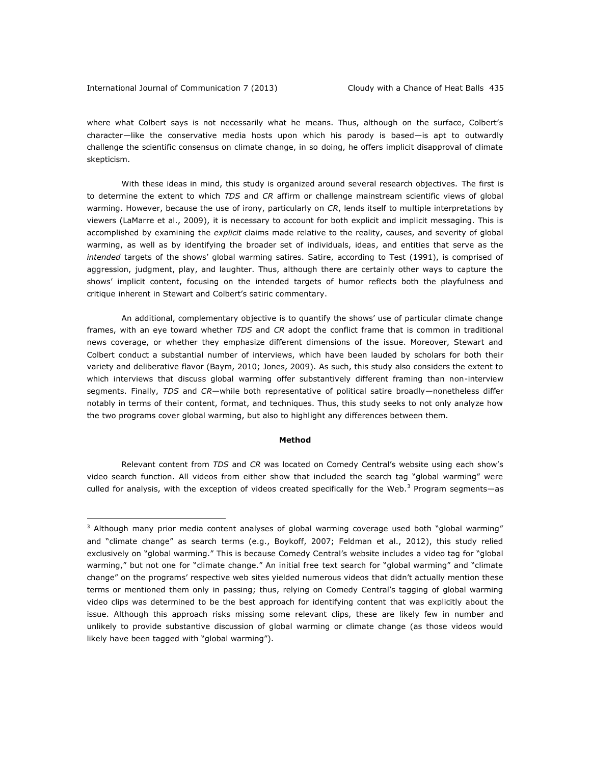where what Colbert says is not necessarily what he means. Thus, although on the surface, Colbert's character—like the conservative media hosts upon which his parody is based—is apt to outwardly challenge the scientific consensus on climate change, in so doing, he offers implicit disapproval of climate skepticism.

With these ideas in mind, this study is organized around several research objectives. The first is to determine the extent to which *TDS* and *CR* affirm or challenge mainstream scientific views of global warming. However, because the use of irony, particularly on *CR*, lends itself to multiple interpretations by viewers (LaMarre et al., 2009), it is necessary to account for both explicit and implicit messaging. This is accomplished by examining the *explicit* claims made relative to the reality, causes, and severity of global warming, as well as by identifying the broader set of individuals, ideas, and entities that serve as the *intended* targets of the shows' global warming satires. Satire, according to Test (1991), is comprised of aggression, judgment, play, and laughter. Thus, although there are certainly other ways to capture the shows' implicit content, focusing on the intended targets of humor reflects both the playfulness and critique inherent in Stewart and Colbert's satiric commentary.

An additional, complementary objective is to quantify the shows' use of particular climate change frames, with an eye toward whether *TDS* and *CR* adopt the conflict frame that is common in traditional news coverage, or whether they emphasize different dimensions of the issue. Moreover, Stewart and Colbert conduct a substantial number of interviews, which have been lauded by scholars for both their variety and deliberative flavor (Baym, 2010; Jones, 2009). As such, this study also considers the extent to which interviews that discuss global warming offer substantively different framing than non-interview segments. Finally, *TDS* and *CR*—while both representative of political satire broadly—nonetheless differ notably in terms of their content, format, and techniques. Thus, this study seeks to not only analyze how the two programs cover global warming, but also to highlight any differences between them.

#### **Method**

Relevant content from *TDS* and *CR* was located on Comedy Central's website using each show's video search function. All videos from either show that included the search tag "global warming" were culled for analysis, with the exception of videos created specifically for the Web. $3$  Program segments—as

 $3$  Although many prior media content analyses of global warming coverage used both "global warming" and "climate change" as search terms (e.g., Boykoff, 2007; Feldman et al., 2012), this study relied exclusively on "global warming." This is because Comedy Central's website includes a video tag for "global warming," but not one for "climate change." An initial free text search for "global warming" and "climate change" on the programs' respective web sites yielded numerous videos that didn't actually mention these terms or mentioned them only in passing; thus, relying on Comedy Central's tagging of global warming video clips was determined to be the best approach for identifying content that was explicitly about the issue. Although this approach risks missing some relevant clips, these are likely few in number and unlikely to provide substantive discussion of global warming or climate change (as those videos would likely have been tagged with "global warming").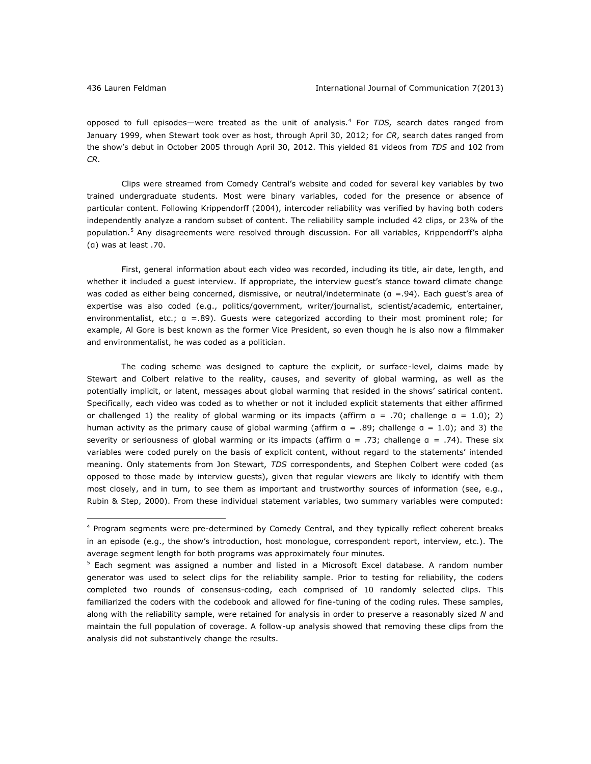opposed to full episodes—were treated as the unit of analysis.<sup>4</sup> For *TDS,* search dates ranged from January 1999, when Stewart took over as host, through April 30, 2012; for *CR*, search dates ranged from the show's debut in October 2005 through April 30, 2012. This yielded 81 videos from *TDS* and 102 from *CR*.

Clips were streamed from Comedy Central's website and coded for several key variables by two trained undergraduate students. Most were binary variables, coded for the presence or absence of particular content. Following Krippendorff (2004), intercoder reliability was verified by having both coders independently analyze a random subset of content. The reliability sample included 42 clips, or 23% of the population.<sup>5</sup> Any disagreements were resolved through discussion. For all variables, Krippendorff's alpha (α) was at least .70.

First, general information about each video was recorded, including its title, air date, length, and whether it included a guest interview. If appropriate, the interview guest's stance toward climate change was coded as either being concerned, dismissive, or neutral/indeterminate (a =.94). Each guest's area of expertise was also coded (e.g., politics/government, writer/journalist, scientist/academic, entertainer, environmentalist, etc.; α =.89). Guests were categorized according to their most prominent role; for example, Al Gore is best known as the former Vice President, so even though he is also now a filmmaker and environmentalist, he was coded as a politician.

The coding scheme was designed to capture the explicit, or surface-level, claims made by Stewart and Colbert relative to the reality, causes, and severity of global warming, as well as the potentially implicit, or latent, messages about global warming that resided in the shows' satirical content. Specifically, each video was coded as to whether or not it included explicit statements that either affirmed or challenged 1) the reality of global warming or its impacts (affirm  $a = .70$ ; challenge  $a = 1.0$ ); 2) human activity as the primary cause of global warming (affirm  $a = .89$ ; challenge  $a = 1.0$ ); and 3) the severity or seriousness of global warming or its impacts (affirm α = .73; challenge α = .74). These six variables were coded purely on the basis of explicit content, without regard to the statements' intended meaning. Only statements from Jon Stewart, *TDS* correspondents, and Stephen Colbert were coded (as opposed to those made by interview guests), given that regular viewers are likely to identify with them most closely, and in turn, to see them as important and trustworthy sources of information (see, e.g., Rubin & Step, 2000). From these individual statement variables, two summary variables were computed:

<sup>&</sup>lt;sup>4</sup> Program segments were pre-determined by Comedy Central, and they typically reflect coherent breaks in an episode (e.g., the show's introduction, host monologue, correspondent report, interview, etc.). The average segment length for both programs was approximately four minutes.

<sup>&</sup>lt;sup>5</sup> Each segment was assigned a number and listed in a Microsoft Excel database. A random number generator was used to select clips for the reliability sample. Prior to testing for reliability, the coders completed two rounds of consensus-coding, each comprised of 10 randomly selected clips. This familiarized the coders with the codebook and allowed for fine-tuning of the coding rules. These samples, along with the reliability sample, were retained for analysis in order to preserve a reasonably sized *N* and maintain the full population of coverage. A follow-up analysis showed that removing these clips from the analysis did not substantively change the results.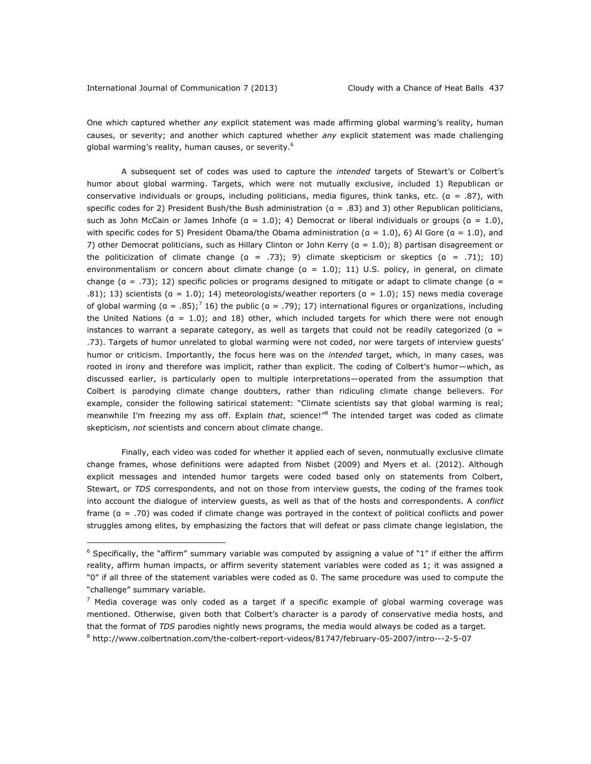One which captured whether *any* explicit statement was made affirming global warming's reality, human causes, or severity; and another which captured whether *any* explicit statement was made challenging global warming's reality, human causes, or severity.<sup>6</sup>

A subsequent set of codes was used to capture the *intended* targets of Stewart's or Colbert's humor about global warming. Targets, which were not mutually exclusive, included 1) Republican or conservative individuals or groups, including politicians, media figures, think tanks, etc. ( $a = .87$ ), with specific codes for 2) President Bush/the Bush administration (α = .83) and 3) other Republican politicians, such as John McCain or James Inhofe ( $a = 1.0$ ); 4) Democrat or liberal individuals or groups ( $a = 1.0$ ), with specific codes for 5) President Obama/the Obama administration ( $a = 1.0$ ), 6) Al Gore ( $a = 1.0$ ), and 7) other Democrat politicians, such as Hillary Clinton or John Kerry (α = 1.0); 8) partisan disagreement or the politicization of climate change  $(a = .73)$ ; 9) climate skepticism or skeptics  $(a = .71)$ ; 10) environmentalism or concern about climate change (α = 1.0); 11) U.S. policy, in general, on climate change ( $a = .73$ ); 12) specific policies or programs designed to mitigate or adapt to climate change ( $a =$ .81); 13) scientists ( $a = 1.0$ ); 14) meteorologists/weather reporters ( $a = 1.0$ ); 15) news media coverage of global warming ( $a = .85$ );<sup>7</sup> 16) the public ( $a = .79$ ); 17) international figures or organizations, including the United Nations ( $a = 1.0$ ); and 18) other, which included targets for which there were not enough instances to warrant a separate category, as well as targets that could not be readily categorized ( $a =$ .73). Targets of humor unrelated to global warming were not coded, nor were targets of interview guests' humor or criticism. Importantly, the focus here was on the *intended* target, which, in many cases, was rooted in irony and therefore was implicit, rather than explicit. The coding of Colbert's humor—which, as discussed earlier, is particularly open to multiple interpretations—operated from the assumption that Colbert is parodying climate change doubters, rather than ridiculing climate change believers. For example, consider the following satirical statement: "Climate scientists say that global warming is real; meanwhile I'm freezing my ass off. Explain *that*, science!"<sup>8</sup> The intended target was coded as climate skepticism, *not* scientists and concern about climate change.

Finally, each video was coded for whether it applied each of seven, nonmutually exclusive climate change frames, whose definitions were adapted from Nisbet (2009) and Myers et al. (2012). Although explicit messages and intended humor targets were coded based only on statements from Colbert, Stewart, or *TDS* correspondents, and not on those from interview guests, the coding of the frames took into account the dialogue of interview guests, as well as that of the hosts and correspondents. A *conflict*  frame (α = .70) was coded if climate change was portrayed in the context of political conflicts and power struggles among elites, by emphasizing the factors that will defeat or pass climate change legislation, the

 $6$  Specifically, the "affirm" summary variable was computed by assigning a value of "1" if either the affirm reality, affirm human impacts, or affirm severity statement variables were coded as 1; it was assigned a "0" if all three of the statement variables were coded as 0. The same procedure was used to compute the "challenge" summary variable.

 $7$  Media coverage was only coded as a target if a specific example of global warming coverage was mentioned. Otherwise, given both that Colbert's character is a parody of conservative media hosts, and that the format of *TDS* parodies nightly news programs, the media would always be coded as a target.

<sup>8</sup> <http://www.colbertnation.com/the-colbert-report-videos/81747/february-05-2007/intro---2-5-07>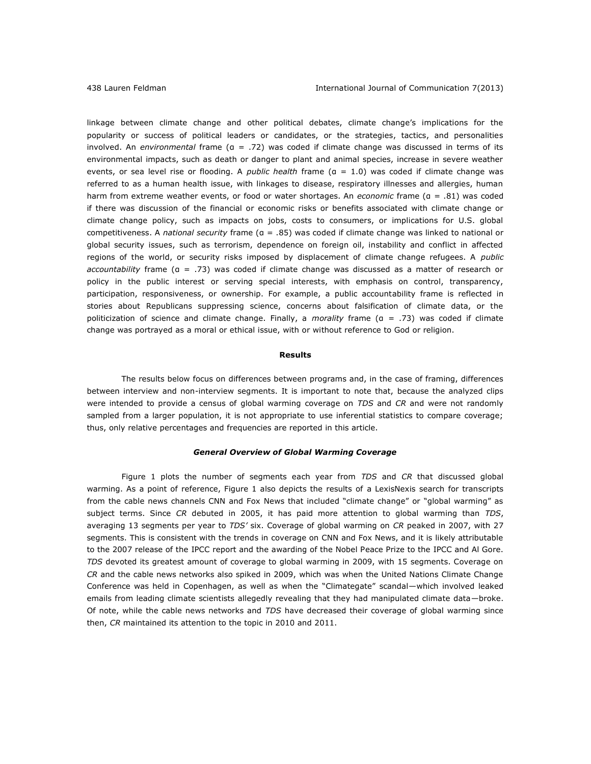linkage between climate change and other political debates, climate change's implications for the popularity or success of political leaders or candidates, or the strategies, tactics, and personalities involved. An *environmental* frame (α = .72) was coded if climate change was discussed in terms of its environmental impacts, such as death or danger to plant and animal species, increase in severe weather events, or sea level rise or flooding. A *public health* frame (α = 1.0) was coded if climate change was referred to as a human health issue, with linkages to disease, respiratory illnesses and allergies, human harm from extreme weather events, or food or water shortages. An *economic* frame (α = .81) was coded if there was discussion of the financial or economic risks or benefits associated with climate change or climate change policy, such as impacts on jobs, costs to consumers, or implications for U.S. global competitiveness. A *national security* frame (α = .85) was coded if climate change was linked to national or global security issues, such as terrorism, dependence on foreign oil, instability and conflict in affected regions of the world, or security risks imposed by displacement of climate change refugees. A *public accountability* frame (α = .73) was coded if climate change was discussed as a matter of research or policy in the public interest or serving special interests, with emphasis on control, transparency, participation, responsiveness, or ownership. For example, a public accountability frame is reflected in stories about Republicans suppressing science, concerns about falsification of climate data, or the politicization of science and climate change. Finally, a *morality* frame (α = .73) was coded if climate change was portrayed as a moral or ethical issue, with or without reference to God or religion.

## **Results**

The results below focus on differences between programs and, in the case of framing, differences between interview and non-interview segments. It is important to note that, because the analyzed clips were intended to provide a census of global warming coverage on *TDS* and *CR* and were not randomly sampled from a larger population, it is not appropriate to use inferential statistics to compare coverage; thus, only relative percentages and frequencies are reported in this article.

## *General Overview of Global Warming Coverage*

Figure 1 plots the number of segments each year from *TDS* and *CR* that discussed global warming. As a point of reference, Figure 1 also depicts the results of a LexisNexis search for transcripts from the cable news channels CNN and Fox News that included "climate change" or "global warming" as subject terms. Since *CR* debuted in 2005, it has paid more attention to global warming than *TDS*, averaging 13 segments per year to *TDS'* six. Coverage of global warming on *CR* peaked in 2007, with 27 segments. This is consistent with the trends in coverage on CNN and Fox News, and it is likely attributable to the 2007 release of the IPCC report and the awarding of the Nobel Peace Prize to the IPCC and Al Gore. *TDS* devoted its greatest amount of coverage to global warming in 2009, with 15 segments. Coverage on *CR* and the cable news networks also spiked in 2009, which was when the United Nations Climate Change Conference was held in Copenhagen, as well as when the "Climategate" scandal—which involved leaked emails from leading climate scientists allegedly revealing that they had manipulated climate data—broke. Of note, while the cable news networks and *TDS* have decreased their coverage of global warming since then, *CR* maintained its attention to the topic in 2010 and 2011.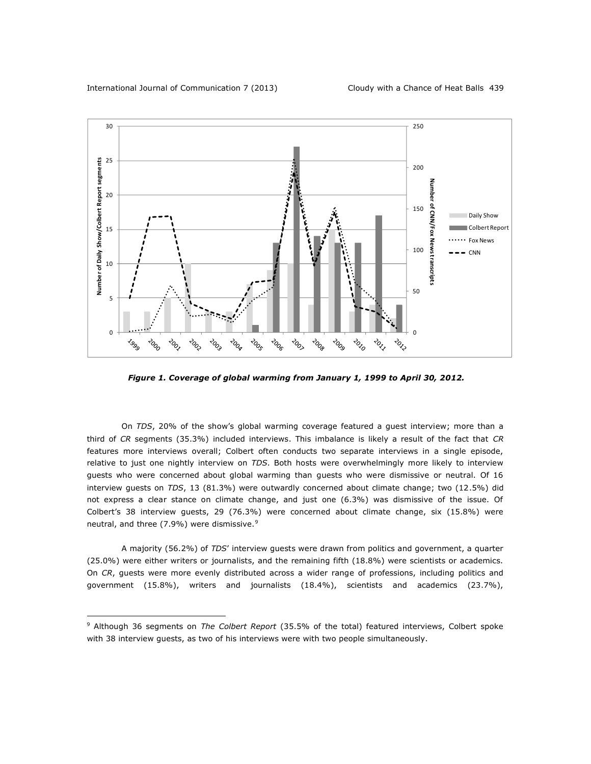

*Figure 1. Coverage of global warming from January 1, 1999 to April 30, 2012.*

On *TDS*, 20% of the show's global warming coverage featured a guest interview; more than a third of *CR* segments (35.3%) included interviews. This imbalance is likely a result of the fact that *CR*  features more interviews overall; Colbert often conducts two separate interviews in a single episode, relative to just one nightly interview on *TDS*. Both hosts were overwhelmingly more likely to interview guests who were concerned about global warming than guests who were dismissive or neutral. Of 16 interview guests on *TDS*, 13 (81.3%) were outwardly concerned about climate change; two (12.5%) did not express a clear stance on climate change, and just one (6.3%) was dismissive of the issue. Of Colbert's 38 interview guests, 29 (76.3%) were concerned about climate change, six (15.8%) were neutral, and three  $(7.9\%)$  were dismissive.<sup>9</sup>

A majority (56.2%) of *TDS*' interview guests were drawn from politics and government, a quarter (25.0%) were either writers or journalists, and the remaining fifth (18.8%) were scientists or academics. On *CR*, guests were more evenly distributed across a wider range of professions, including politics and government (15.8%), writers and journalists (18.4%), scientists and academics (23.7%),

<sup>9</sup> Although 36 segments on *The Colbert Report* (35.5% of the total) featured interviews, Colbert spoke with 38 interview guests, as two of his interviews were with two people simultaneously.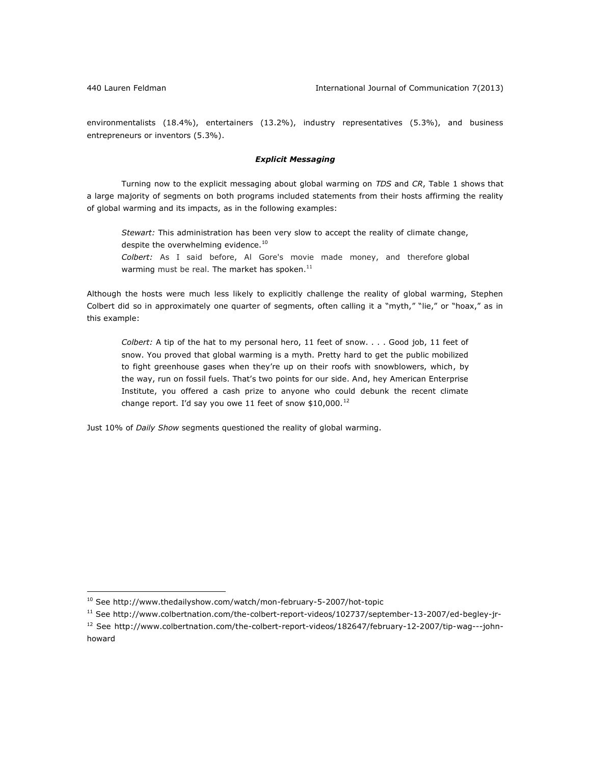environmentalists (18.4%), entertainers (13.2%), industry representatives (5.3%), and business entrepreneurs or inventors (5.3%).

# *Explicit Messaging*

Turning now to the explicit messaging about global warming on *TDS* and *CR*, Table 1 shows that a large majority of segments on both programs included statements from their hosts affirming the reality of global warming and its impacts, as in the following examples:

*Stewart:* This administration has been very slow to accept the reality of climate change, despite the overwhelming evidence.<sup>10</sup> *Colbert:* As I said before, Al Gore's movie made money, and therefore global warming must be real. The market has spoken.<sup>11</sup>

Although the hosts were much less likely to explicitly challenge the reality of global warming, Stephen Colbert did so in approximately one quarter of segments, often calling it a "myth," "lie," or "hoax," as in this example:

*Colbert:* A tip of the hat to my personal hero, 11 feet of snow. . . . Good job, 11 feet of snow. You proved that global warming is a myth. Pretty hard to get the public mobilized to fight greenhouse gases when they're up on their roofs with snowblowers, which, by the way, run on fossil fuels. That's two points for our side. And, hey American Enterprise Institute, you offered a cash prize to anyone who could debunk the recent climate change report. I'd say you owe 11 feet of snow  $$10,000$ .<sup>12</sup>

Just 10% of *Daily Show* segments questioned the reality of global warming.

<sup>&</sup>lt;sup>10</sup> See<http://www.thedailyshow.com/watch/mon-february-5-2007/hot-topic>

<sup>11</sup> See<http://www.colbertnation.com/the-colbert-report-videos/102737/september-13-2007/ed-begley-jr->

<sup>12</sup> See [http://www.colbertnation.com/the-colbert-report-videos/182647/february-12-2007/tip-wag---john](http://www.colbertnation.com/the-colbert-report-videos/182647/february-12-2007/tip-wag---john-howard)[howard](http://www.colbertnation.com/the-colbert-report-videos/182647/february-12-2007/tip-wag---john-howard)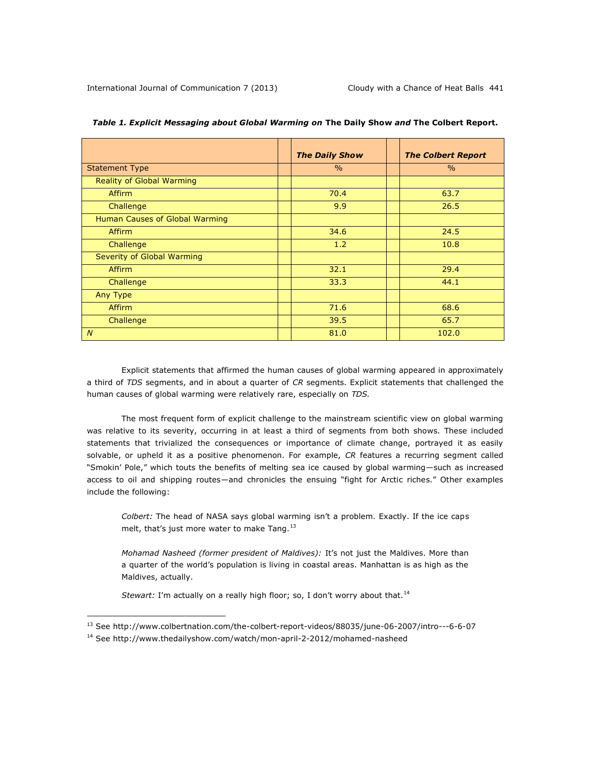|                                |  | <b>The Daily Show</b> | <b>The Colbert Report</b> |
|--------------------------------|--|-----------------------|---------------------------|
| <b>Statement Type</b>          |  | $\frac{0}{0}$         | $\frac{0}{0}$             |
| Reality of Global Warming      |  |                       |                           |
| <b>Affirm</b>                  |  | 70.4                  | 63.7                      |
| Challenge                      |  | 9.9                   | 26.5                      |
| Human Causes of Global Warming |  |                       |                           |
| <b>Affirm</b>                  |  | 34.6                  | 24.5                      |
| Challenge                      |  | 1.2                   | 10.8                      |
| Severity of Global Warming     |  |                       |                           |
| Affirm                         |  | 32.1                  | 29.4                      |
| Challenge                      |  | 33.3                  | 44.1                      |
| Any Type                       |  |                       |                           |
| Affirm                         |  | 71.6                  | 68.6                      |
| Challenge                      |  | 39.5                  | 65.7                      |
| $\overline{N}$                 |  | 81.0                  | 102.0                     |

|  |  |  |  |  |  |  | <i>Table 1. Explicit Messaging about Global Warming on The Daily Show and The Colbert Report.</i> |
|--|--|--|--|--|--|--|---------------------------------------------------------------------------------------------------|
|--|--|--|--|--|--|--|---------------------------------------------------------------------------------------------------|

Explicit statements that affirmed the human causes of global warming appeared in approximately a third of *TDS* segments, and in about a quarter of *CR* segments. Explicit statements that challenged the human causes of global warming were relatively rare, especially on *TDS.*

The most frequent form of explicit challenge to the mainstream scientific view on global warming was relative to its severity, occurring in at least a third of segments from both shows. These included statements that trivialized the consequences or importance of climate change, portrayed it as easily solvable, or upheld it as a positive phenomenon. For example, *CR* features a recurring segment called "Smokin' Pole," which touts the benefits of melting sea ice caused by global warming—such as increased access to oil and shipping routes—and chronicles the ensuing "fight for Arctic riches." Other examples include the following:

*Colbert:* The head of NASA says global warming isn't a problem. Exactly. If the ice caps melt, that's just more water to make Tang. $^{13}$ 

*Mohamad Nasheed (former president of Maldives):* It's not just the Maldives. More than a quarter of the world's population is living in coastal areas. Manhattan is as high as the Maldives, actually.

*Stewart: I'm actually on a really high floor; so, I don't worry about that.*<sup>14</sup>

 $\overline{a}$ 

<sup>13</sup> See<http://www.colbertnation.com/the-colbert-report-videos/88035/june-06-2007/intro---6-6-07>

<sup>&</sup>lt;sup>14</sup> See<http://www.thedailyshow.com/watch/mon-april-2-2012/mohamed-nasheed>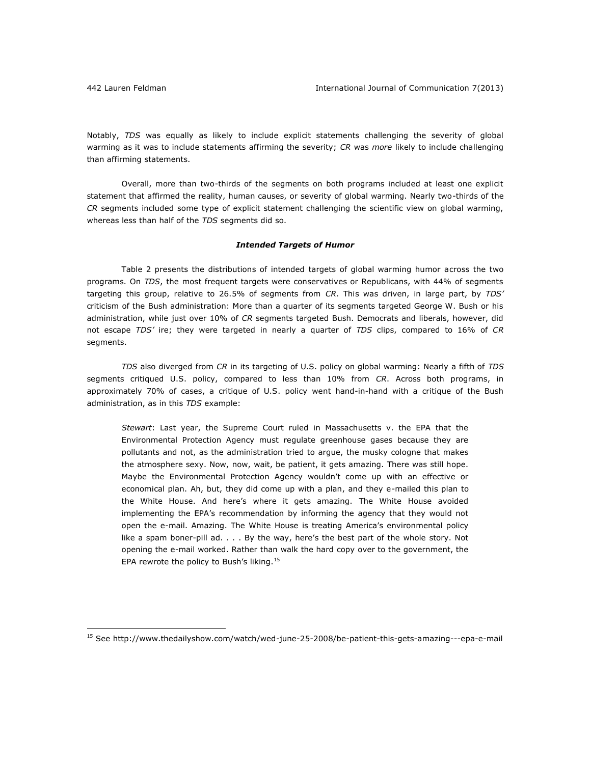Notably, *TDS* was equally as likely to include explicit statements challenging the severity of global warming as it was to include statements affirming the severity; *CR* was *more* likely to include challenging than affirming statements.

Overall, more than two-thirds of the segments on both programs included at least one explicit statement that affirmed the reality, human causes, or severity of global warming. Nearly two-thirds of the *CR* segments included some type of explicit statement challenging the scientific view on global warming, whereas less than half of the *TDS* segments did so.

### *Intended Targets of Humor*

Table 2 presents the distributions of intended targets of global warming humor across the two programs. On *TDS*, the most frequent targets were conservatives or Republicans, with 44% of segments targeting this group, relative to 26.5% of segments from *CR*. This was driven, in large part, by *TDS'* criticism of the Bush administration: More than a quarter of its segments targeted George W. Bush or his administration, while just over 10% of *CR* segments targeted Bush. Democrats and liberals, however, did not escape *TDS'* ire; they were targeted in nearly a quarter of *TDS* clips, compared to 16% of *CR* segments.

*TDS* also diverged from *CR* in its targeting of U.S. policy on global warming: Nearly a fifth of *TDS*  segments critiqued U.S. policy, compared to less than 10% from *CR*. Across both programs, in approximately 70% of cases, a critique of U.S. policy went hand-in-hand with a critique of the Bush administration, as in this *TDS* example:

*Stewart*: Last year, the Supreme Court ruled in Massachusetts v. the EPA that the Environmental Protection Agency must regulate greenhouse gases because they are pollutants and not, as the administration tried to argue, the musky cologne that makes the atmosphere sexy. Now, now, wait, be patient, it gets amazing. There was still hope. Maybe the Environmental Protection Agency wouldn't come up with an effective or economical plan. Ah, but, they did come up with a plan, and they e-mailed this plan to the White House. And here's where it gets amazing. The White House avoided implementing the EPA's recommendation by informing the agency that they would not open the e-mail. Amazing. The White House is treating America's environmental policy like a spam boner-pill ad. . . . By the way, here's the best part of the whole story. Not opening the e-mail worked. Rather than walk the hard copy over to the government, the EPA rewrote the policy to Bush's liking.<sup>15</sup>

<sup>15</sup> See<http://www.thedailyshow.com/watch/wed-june-25-2008/be-patient-this-gets-amazing---epa-e-mail>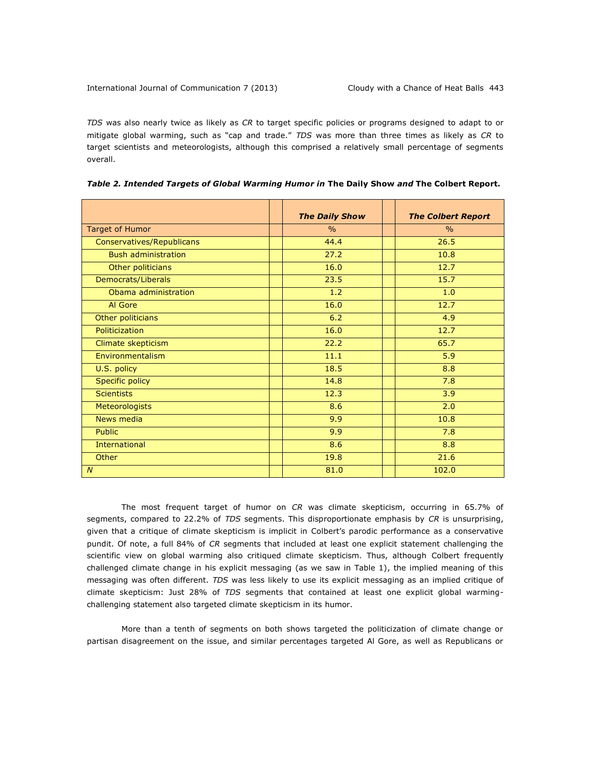*TDS* was also nearly twice as likely as *CR* to target specific policies or programs designed to adapt to or mitigate global warming, such as "cap and trade." *TDS* was more than three times as likely as *CR* to target scientists and meteorologists, although this comprised a relatively small percentage of segments overall.

|                            | <b>The Daily Show</b> | <b>The Colbert Report</b> |
|----------------------------|-----------------------|---------------------------|
| Target of Humor            | $\frac{0}{0}$         | $\frac{0}{0}$             |
| Conservatives/Republicans  | 44.4                  | 26.5                      |
| <b>Bush administration</b> | 27.2                  | 10.8                      |
| Other politicians          | 16.0                  | 12.7                      |
| Democrats/Liberals         | 23.5                  | 15.7                      |
| Obama administration       | 1.2                   | 1.0                       |
| Al Gore                    | 16.0                  | 12.7                      |
| Other politicians          | 6.2                   | 4.9                       |
| Politicization             | 16.0                  | 12.7                      |
| Climate skepticism         | 22.2                  | 65.7                      |
| Environmentalism           | 11.1                  | 5.9                       |
| U.S. policy                | 18.5                  | 8.8                       |
| <b>Specific policy</b>     | 14.8                  | 7.8                       |
| <b>Scientists</b>          | 12.3                  | 3.9                       |
| <b>Meteorologists</b>      | 8.6                   | 2.0                       |
| News media                 | 9.9                   | 10.8                      |
| <b>Public</b>              | 9.9                   | 7.8                       |
| <b>International</b>       | 8.6                   | 8.8                       |
| Other                      | 19.8                  | 21.6                      |
| $\boldsymbol{N}$           | 81.0                  | 102.0                     |

*Table 2. Intended Targets of Global Warming Humor in* **The Daily Show** *and* **The Colbert Report.**

The most frequent target of humor on *CR* was climate skepticism, occurring in 65.7% of segments, compared to 22.2% of *TDS* segments. This disproportionate emphasis by *CR* is unsurprising, given that a critique of climate skepticism is implicit in Colbert's parodic performance as a conservative pundit. Of note, a full 84% of *CR* segments that included at least one explicit statement challenging the scientific view on global warming also critiqued climate skepticism. Thus, although Colbert frequently challenged climate change in his explicit messaging (as we saw in Table 1), the implied meaning of this messaging was often different. *TDS* was less likely to use its explicit messaging as an implied critique of climate skepticism: Just 28% of *TDS* segments that contained at least one explicit global warmingchallenging statement also targeted climate skepticism in its humor.

More than a tenth of segments on both shows targeted the politicization of climate change or partisan disagreement on the issue, and similar percentages targeted Al Gore, as well as Republicans or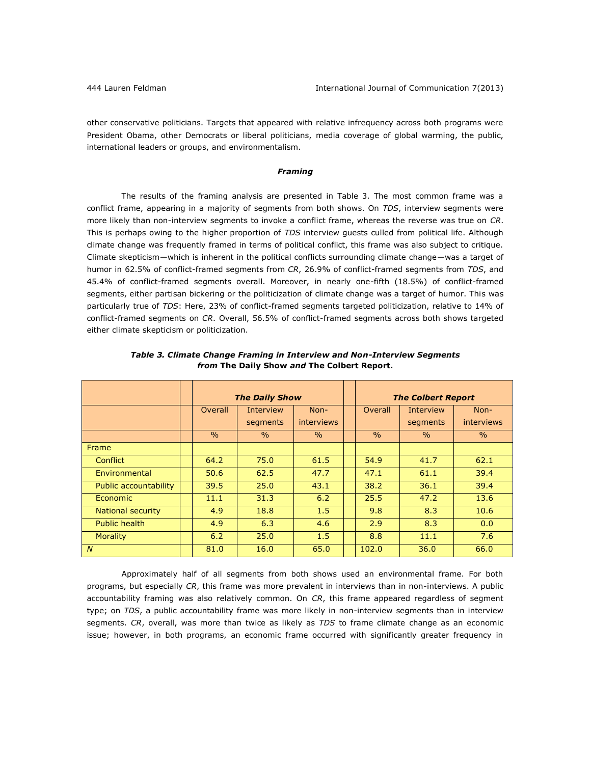other conservative politicians. Targets that appeared with relative infrequency across both programs were President Obama, other Democrats or liberal politicians, media coverage of global warming, the public, international leaders or groups, and environmentalism.

## *Framing*

The results of the framing analysis are presented in Table 3. The most common frame was a conflict frame, appearing in a majority of segments from both shows. On *TDS*, interview segments were more likely than non-interview segments to invoke a conflict frame, whereas the reverse was true on *CR*. This is perhaps owing to the higher proportion of *TDS* interview guests culled from political life. Although climate change was frequently framed in terms of political conflict, this frame was also subject to critique. Climate skepticism—which is inherent in the political conflicts surrounding climate change—was a target of humor in 62.5% of conflict-framed segments from *CR*, 26.9% of conflict-framed segments from *TDS*, and 45.4% of conflict-framed segments overall. Moreover, in nearly one-fifth (18.5%) of conflict-framed segments, either partisan bickering or the politicization of climate change was a target of humor. This was particularly true of *TDS*: Here, 23% of conflict-framed segments targeted politicization, relative to 14% of conflict-framed segments on *CR*. Overall, 56.5% of conflict-framed segments across both shows targeted either climate skepticism or politicization.

|                       |               | <b>The Daily Show</b> |                   |               | <b>The Colbert Report</b> |                   |
|-----------------------|---------------|-----------------------|-------------------|---------------|---------------------------|-------------------|
|                       | Overall       | <b>Interview</b>      | Non-              | Overall       | <b>Interview</b>          | Non-              |
|                       |               | segments              | <b>interviews</b> |               | segments                  | <b>interviews</b> |
|                       | $\frac{0}{0}$ | $\%$                  | $\frac{0}{0}$     | $\frac{0}{0}$ | $\%$                      | $\%$              |
| Frame                 |               |                       |                   |               |                           |                   |
| <b>Conflict</b>       | 64.2          | 75.0                  | 61.5              | 54.9          | 41.7                      | 62.1              |
| Environmental         | 50.6          | 62.5                  | 47.7              | 47.1          | 61.1                      | 39.4              |
| Public accountability | 39.5          | 25.0                  | 43.1              | 38.2          | 36.1                      | 39.4              |
| <b>Economic</b>       | 11.1          | 31.3                  | 6.2               | 25.5          | 47.2                      | 13.6              |
| National security     | 4.9           | 18.8                  | 1.5               | 9.8           | 8.3                       | 10.6              |
| Public health         | 4.9           | 6.3                   | 4.6               | 2.9           | 8.3                       | 0.0               |
| <b>Morality</b>       | 6.2           | 25.0                  | 1.5               | 8.8           | 11.1                      | 7.6               |
| $\overline{N}$        | 81.0          | 16.0                  | 65.0              | 102.0         | 36.0                      | 66.0              |

*Table 3. Climate Change Framing in Interview and Non-Interview Segments from* **The Daily Show** *and* **The Colbert Report.**

Approximately half of all segments from both shows used an environmental frame. For both programs, but especially *CR*, this frame was more prevalent in interviews than in non-interviews. A public accountability framing was also relatively common. On *CR*, this frame appeared regardless of segment type; on *TDS*, a public accountability frame was more likely in non-interview segments than in interview segments. *CR*, overall, was more than twice as likely as *TDS* to frame climate change as an economic issue; however, in both programs, an economic frame occurred with significantly greater frequency in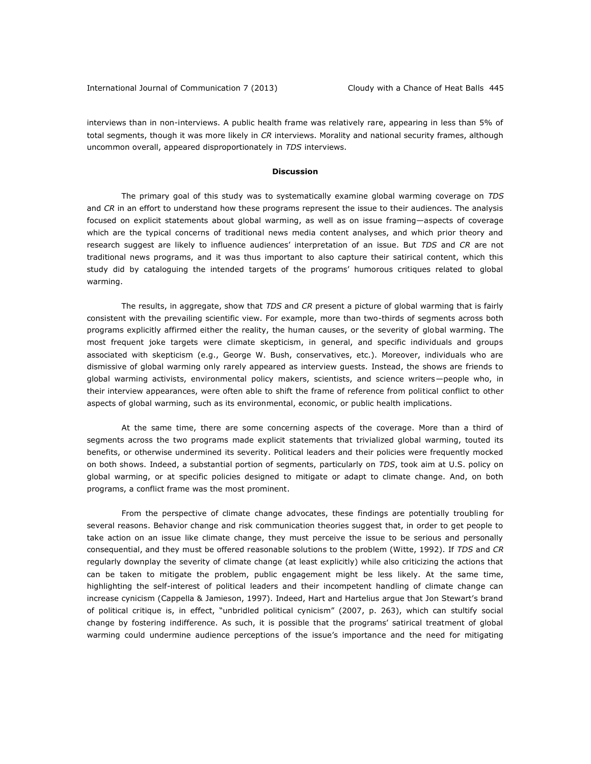interviews than in non-interviews. A public health frame was relatively rare, appearing in less than 5% of total segments, though it was more likely in *CR* interviews. Morality and national security frames, although uncommon overall, appeared disproportionately in *TDS* interviews.

### **Discussion**

The primary goal of this study was to systematically examine global warming coverage on *TDS* and *CR* in an effort to understand how these programs represent the issue to their audiences. The analysis focused on explicit statements about global warming, as well as on issue framing—aspects of coverage which are the typical concerns of traditional news media content analyses, and which prior theory and research suggest are likely to influence audiences' interpretation of an issue. But *TDS* and *CR* are not traditional news programs, and it was thus important to also capture their satirical content, which this study did by cataloguing the intended targets of the programs' humorous critiques related to global warming.

The results, in aggregate, show that *TDS* and *CR* present a picture of global warming that is fairly consistent with the prevailing scientific view. For example, more than two-thirds of segments across both programs explicitly affirmed either the reality, the human causes, or the severity of global warming. The most frequent joke targets were climate skepticism, in general, and specific individuals and groups associated with skepticism (e.g., George W. Bush, conservatives, etc.). Moreover, individuals who are dismissive of global warming only rarely appeared as interview guests. Instead, the shows are friends to global warming activists, environmental policy makers, scientists, and science writers—people who, in their interview appearances, were often able to shift the frame of reference from political conflict to other aspects of global warming, such as its environmental, economic, or public health implications.

At the same time, there are some concerning aspects of the coverage. More than a third of segments across the two programs made explicit statements that trivialized global warming, touted its benefits, or otherwise undermined its severity. Political leaders and their policies were frequently mocked on both shows. Indeed, a substantial portion of segments, particularly on *TDS*, took aim at U.S. policy on global warming, or at specific policies designed to mitigate or adapt to climate change. And, on both programs, a conflict frame was the most prominent.

From the perspective of climate change advocates, these findings are potentially troubling for several reasons. Behavior change and risk communication theories suggest that, in order to get people to take action on an issue like climate change, they must perceive the issue to be serious and personally consequential, and they must be offered reasonable solutions to the problem (Witte, 1992). If *TDS* and *CR*  regularly downplay the severity of climate change (at least explicitly) while also criticizing the actions that can be taken to mitigate the problem, public engagement might be less likely. At the same time, highlighting the self-interest of political leaders and their incompetent handling of climate change can increase cynicism (Cappella & Jamieson, 1997). Indeed, Hart and Hartelius argue that Jon Stewart's brand of political critique is, in effect, "unbridled political cynicism" (2007, p. 263), which can stultify social change by fostering indifference. As such, it is possible that the programs' satirical treatment of global warming could undermine audience perceptions of the issue's importance and the need for mitigating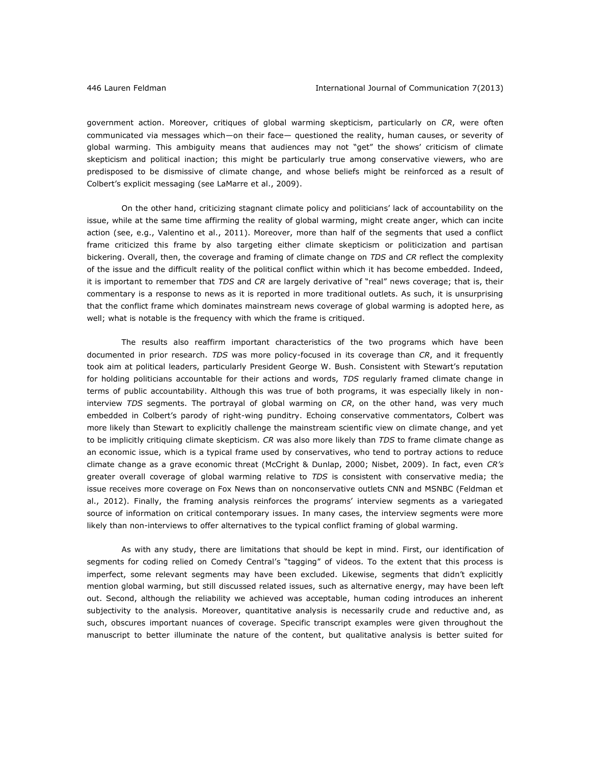government action. Moreover, critiques of global warming skepticism, particularly on *CR*, were often communicated via messages which—on their face— questioned the reality, human causes, or severity of global warming. This ambiguity means that audiences may not "get" the shows' criticism of climate skepticism and political inaction; this might be particularly true among conservative viewers, who are predisposed to be dismissive of climate change, and whose beliefs might be reinforced as a result of Colbert's explicit messaging (see LaMarre et al., 2009).

On the other hand, criticizing stagnant climate policy and politicians' lack of accountability on the issue, while at the same time affirming the reality of global warming, might create anger, which can incite action (see, e.g., Valentino et al., 2011). Moreover, more than half of the segments that used a conflict frame criticized this frame by also targeting either climate skepticism or politicization and partisan bickering. Overall, then, the coverage and framing of climate change on *TDS* and *CR* reflect the complexity of the issue and the difficult reality of the political conflict within which it has become embedded. Indeed, it is important to remember that *TDS* and *CR* are largely derivative of "real" news coverage; that is, their commentary is a response to news as it is reported in more traditional outlets. As such, it is unsurprising that the conflict frame which dominates mainstream news coverage of global warming is adopted here, as well; what is notable is the frequency with which the frame is critiqued.

The results also reaffirm important characteristics of the two programs which have been documented in prior research. *TDS* was more policy-focused in its coverage than *CR*, and it frequently took aim at political leaders, particularly President George W. Bush. Consistent with Stewart's reputation for holding politicians accountable for their actions and words, *TDS* regularly framed climate change in terms of public accountability. Although this was true of both programs, it was especially likely in noninterview *TDS* segments. The portrayal of global warming on *CR*, on the other hand, was very much embedded in Colbert's parody of right-wing punditry. Echoing conservative commentators, Colbert was more likely than Stewart to explicitly challenge the mainstream scientific view on climate change, and yet to be implicitly critiquing climate skepticism. *CR* was also more likely than *TDS* to frame climate change as an economic issue, which is a typical frame used by conservatives, who tend to portray actions to reduce climate change as a grave economic threat (McCright & Dunlap, 2000; Nisbet, 2009). In fact, even *CR's* greater overall coverage of global warming relative to *TDS* is consistent with conservative media; the issue receives more coverage on Fox News than on nonconservative outlets CNN and MSNBC (Feldman et al., 2012). Finally, the framing analysis reinforces the programs' interview segments as a variegated source of information on critical contemporary issues. In many cases, the interview segments were more likely than non-interviews to offer alternatives to the typical conflict framing of global warming.

As with any study, there are limitations that should be kept in mind. First, our identification of segments for coding relied on Comedy Central's "tagging" of videos. To the extent that this process is imperfect, some relevant segments may have been excluded. Likewise, segments that didn't explicitly mention global warming, but still discussed related issues, such as alternative energy, may have been left out. Second, although the reliability we achieved was acceptable, human coding introduces an inherent subjectivity to the analysis. Moreover, quantitative analysis is necessarily crude and reductive and, as such, obscures important nuances of coverage. Specific transcript examples were given throughout the manuscript to better illuminate the nature of the content, but qualitative analysis is better suited for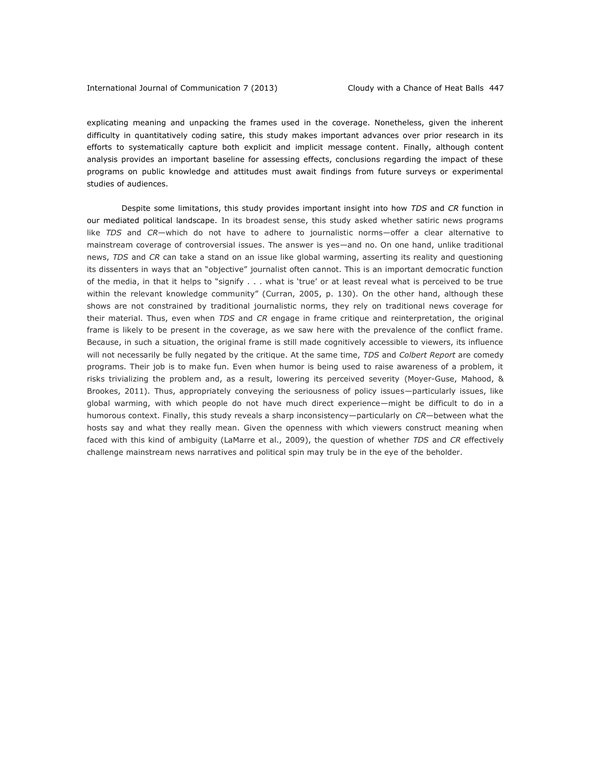explicating meaning and unpacking the frames used in the coverage. Nonetheless, given the inherent difficulty in quantitatively coding satire, this study makes important advances over prior research in its efforts to systematically capture both explicit and implicit message content. Finally, although content analysis provides an important baseline for assessing effects, conclusions regarding the impact of these programs on public knowledge and attitudes must await findings from future surveys or experimental studies of audiences.

Despite some limitations, this study provides important insight into how *TDS* and *CR* function in our mediated political landscape. In its broadest sense, this study asked whether satiric news programs like *TDS* and *CR*—which do not have to adhere to journalistic norms—offer a clear alternative to mainstream coverage of controversial issues. The answer is yes—and no. On one hand, unlike traditional news, *TDS* and *CR* can take a stand on an issue like global warming, asserting its reality and questioning its dissenters in ways that an "objective" journalist often cannot. This is an important democratic function of the media, in that it helps to "signify . . . what is 'true' or at least reveal what is perceived to be true within the relevant knowledge community" (Curran, 2005, p. 130). On the other hand, although these shows are not constrained by traditional journalistic norms, they rely on traditional news coverage for their material. Thus, even when *TDS* and *CR* engage in frame critique and reinterpretation, the original frame is likely to be present in the coverage, as we saw here with the prevalence of the conflict frame. Because, in such a situation, the original frame is still made cognitively accessible to viewers, its influence will not necessarily be fully negated by the critique. At the same time, *TDS* and *Colbert Report* are comedy programs. Their job is to make fun. Even when humor is being used to raise awareness of a problem, it risks trivializing the problem and, as a result, lowering its perceived severity (Moyer-Guse, Mahood, & Brookes, 2011). Thus, appropriately conveying the seriousness of policy issues—particularly issues, like global warming, with which people do not have much direct experience—might be difficult to do in a humorous context. Finally, this study reveals a sharp inconsistency—particularly on *CR*—between what the hosts say and what they really mean. Given the openness with which viewers construct meaning when faced with this kind of ambiguity (LaMarre et al., 2009), the question of whether *TDS* and *CR* effectively challenge mainstream news narratives and political spin may truly be in the eye of the beholder.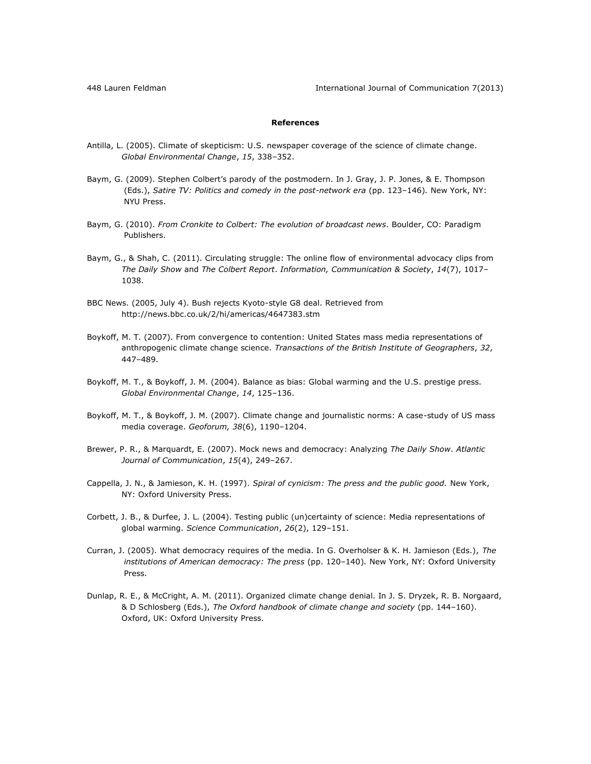# **References**

- Antilla, L. (2005). Climate of skepticism: U.S. newspaper coverage of the science of climate change. *Global Environmental Change*, *15*, 338–352.
- Baym, G. (2009). Stephen Colbert's parody of the postmodern. In J. Gray, J. P. Jones, & E. Thompson (Eds.), *Satire TV: Politics and comedy in the post-network era* (pp. 123-146). New York, NY: NYU Press.
- Baym, G. (2010). *From Cronkite to Colbert: The evolution of broadcast news*. Boulder, CO: Paradigm Publishers.
- Baym, G., & Shah, C. (2011). Circulating struggle: The online flow of environmental advocacy clips from *The Daily Show* and *The Colbert Report*. *Information, Communication & Society*, *14*(7), 1017– 1038.
- BBC News. (2005, July 4). Bush rejects Kyoto-style G8 deal. Retrieved from <http://news.bbc.co.uk/2/hi/americas/4647383.stm>
- Boykoff, M. T. (2007). From convergence to contention: United States mass media representations of anthropogenic climate change science. *Transactions of the British Institute of Geographers*, *32*, 447–489.
- Boykoff, M. T., & Boykoff, J. M. (2004). Balance as bias: Global warming and the U.S. prestige press. *Global Environmental Change*, *14*, 125–136.
- Boykoff, M. T., & Boykoff, J. M. (2007). Climate change and journalistic norms: A case-study of US mass media coverage. *Geoforum, 38*(6), 1190–1204.
- Brewer, P. R., & Marquardt, E. (2007). Mock news and democracy: Analyzing *The Daily Show*. *Atlantic Journal of Communication*, *15*(4), 249–267.
- Cappella, J. N., & Jamieson, K. H. (1997). *Spiral of cynicism: The press and the public good.* New York, NY: Oxford University Press.
- Corbett, J. B., & Durfee, J. L. (2004). Testing public (un)certainty of science: Media representations of global warming. *Science Communication*, *26*(2), 129–151.
- Curran, J. (2005). What democracy requires of the media. In G. Overholser & K. H. Jamieson (Eds.), *The*  institutions of American democracy: The press (pp. 120-140). New York, NY: Oxford University Press.
- Dunlap, R. E., & McCright, A. M. (2011). Organized climate change denial. In J. S. Dryzek, R. B. Norgaard, & D Schlosberg (Eds.), *The Oxford handbook of climate change and society* (pp. 144–160). Oxford, UK: Oxford University Press.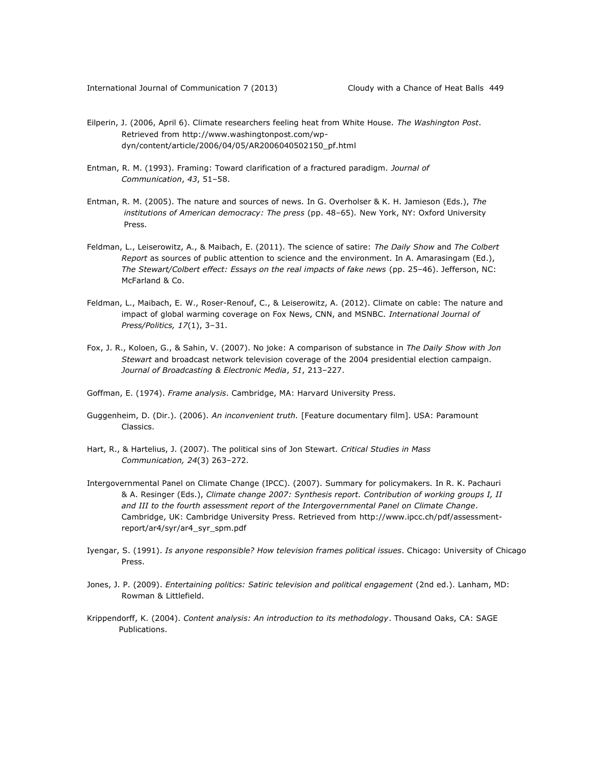- Eilperin, J. (2006, April 6). Climate researchers feeling heat from White House. *The Washington Post*. Retrieved from [http://www.washingtonpost.com/wp](http://www.washingtonpost.com/wp-dyn/content/article/2006/04/05/AR2006040502150_pf.html)[dyn/content/article/2006/04/05/AR2006040502150\\_pf.html](http://www.washingtonpost.com/wp-dyn/content/article/2006/04/05/AR2006040502150_pf.html)
- Entman, R. M. (1993). Framing: Toward clarification of a fractured paradigm. *Journal of Communication*, *43*, 51–58.
- Entman, R. M. (2005). The nature and sources of news. In G. Overholser & K. H. Jamieson (Eds.), *The*  institutions of American democracy: The press (pp. 48-65). New York, NY: Oxford University Press.
- Feldman, L., Leiserowitz, A., & Maibach, E. (2011). The science of satire: *The Daily Show* and *The Colbert Report* as sources of public attention to science and the environment. In A. Amarasingam (Ed.), *The Stewart/Colbert effect: Essays on the real impacts of fake news* (pp. 25–46). Jefferson, NC: McFarland & Co.
- Feldman, L., Maibach, E. W., Roser-Renouf, C., & Leiserowitz, A. (2012). Climate on cable: The nature and impact of global warming coverage on Fox News, CNN, and MSNBC. *International Journal of Press/Politics, 17*(1), 3–31.
- Fox, J. R., Koloen, G., & Sahin, V. (2007). No joke: A comparison of substance in *The Daily Show with Jon Stewart* and broadcast network television coverage of the 2004 presidential election campaign. *Journal of Broadcasting & Electronic Media*, *51*, 213–227.
- Goffman, E. (1974). *Frame analysis*. Cambridge, MA: Harvard University Press.
- Guggenheim, D. (Dir.). (2006). *An inconvenient truth.* [Feature documentary film]. USA: Paramount Classics.
- Hart, R., & Hartelius, J. (2007). The political sins of Jon Stewart. *Critical Studies in Mass Communication, 24*(3) 263–272.
- Intergovernmental Panel on Climate Change (IPCC). (2007). Summary for policymakers. In R. K. Pachauri & A. Resinger (Eds.), *Climate change 2007: Synthesis report. Contribution of working groups I, II and III to the fourth assessment report of the Intergovernmental Panel on Climate Change*. Cambridge, UK: Cambridge University Press. Retrieved from [http://www.ipcc.ch/pdf/assessment](http://www.ipcc.ch/pdf/assessment-report/ar4/syr/ar4_syr_spm.pdf)[report/ar4/syr/ar4\\_syr\\_spm.pdf](http://www.ipcc.ch/pdf/assessment-report/ar4/syr/ar4_syr_spm.pdf)
- Iyengar, S. (1991). *Is anyone responsible? How television frames political issues*. Chicago: University of Chicago Press.
- Jones, J. P. (2009). *Entertaining politics: Satiric television and political engagement* (2nd ed.). Lanham, MD: Rowman & Littlefield.
- Krippendorff, K. (2004). *Content analysis: An introduction to its methodology*. Thousand Oaks, CA: SAGE Publications.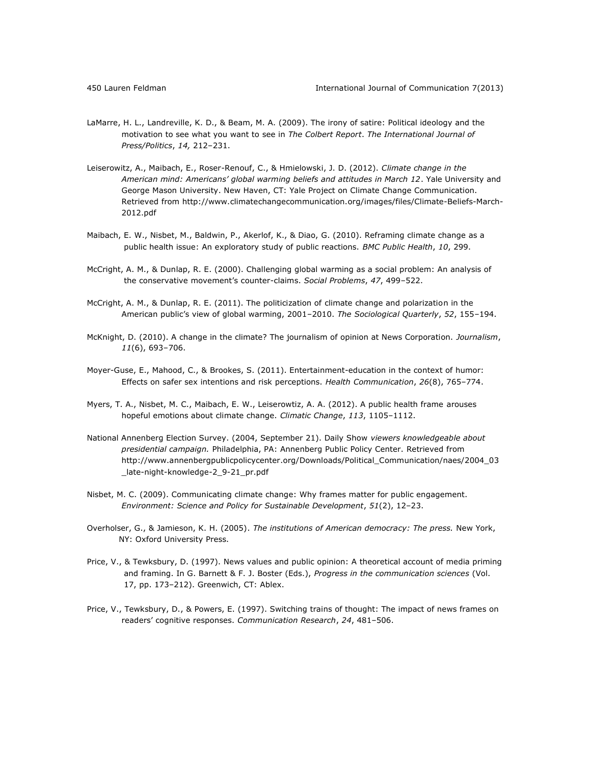- LaMarre, H. L., Landreville, K. D., & Beam, M. A. (2009). The irony of satire: Political ideology and the motivation to see what you want to see in *The Colbert Report*. *The International Journal of Press/Politics*, *14,* 212–231.
- Leiserowitz, A., Maibach, E., Roser-Renouf, C., & Hmielowski, J. D. (2012). *Climate change in the American mind: Americans' global warming beliefs and attitudes in March 12*. Yale University and George Mason University. New Haven, CT: Yale Project on Climate Change Communication. Retrieved from [http://www.climatechangecommunication.org/images/files/Climate-Beliefs-March-](http://www.climatechangecommunication.org/images/files/Climate-Beliefs-March-2012.pdf)[2012.pdf](http://www.climatechangecommunication.org/images/files/Climate-Beliefs-March-2012.pdf)
- Maibach, E. W., Nisbet, M., Baldwin, P., Akerlof, K., & Diao, G. (2010). Reframing climate change as a public health issue: An exploratory study of public reactions. *BMC Public Health*, *10*, 299.
- McCright, A. M., & Dunlap, R. E. (2000). Challenging global warming as a social problem: An analysis of the conservative movement's counter-claims. *Social Problems*, *47*, 499–522.
- McCright, A. M., & Dunlap, R. E. (2011). The politicization of climate change and polarization in the American public's view of global warming, 2001–2010. *The Sociological Quarterly*, *52*, 155–194.
- McKnight, D. (2010). A change in the climate? The journalism of opinion at News Corporation. *Journalism*, *11*(6), 693–706.
- Moyer-Guse, E., Mahood, C., & Brookes, S. (2011). Entertainment-education in the context of humor: Effects on safer sex intentions and risk perceptions. *Health Communication*, *26*(8), 765–774.
- Myers, T. A., Nisbet, M. C., Maibach, E. W., Leiserowtiz, A. A. (2012). A public health frame arouses hopeful emotions about climate change. *Climatic Change*, *113*, 1105–1112.
- National Annenberg Election Survey. (2004, September 21). Daily Show *viewers knowledgeable about presidential campaign.* Philadelphia, PA: Annenberg Public Policy Center. Retrieved from [http://www.annenbergpublicpolicycenter.org/Downloads/Political\\_Communication/naes/2004\\_03](http://www.annenbergpublicpolicycenter.org/Downloads/Political_Communication/naes/2004_03_late-night-knowledge-2_9-21_pr.pdf) [\\_late-night-knowledge-2\\_9-21\\_pr.pdf](http://www.annenbergpublicpolicycenter.org/Downloads/Political_Communication/naes/2004_03_late-night-knowledge-2_9-21_pr.pdf)
- Nisbet, M. C. (2009). Communicating climate change: Why frames matter for public engagement. *Environment: Science and Policy for Sustainable Development*, *51*(2), 12–23.
- Overholser, G., & Jamieson, K. H. (2005). *The institutions of American democracy: The press.* New York, NY: Oxford University Press.
- Price, V., & Tewksbury, D. (1997). News values and public opinion: A theoretical account of media priming and framing. In G. Barnett & F. J. Boster (Eds.), *Progress in the communication sciences* (Vol. 17, pp. 173–212). Greenwich, CT: Ablex.
- Price, V., Tewksbury, D., & Powers, E. (1997). Switching trains of thought: The impact of news frames on readers' cognitive responses. *Communication Research*, *24*, 481–506.